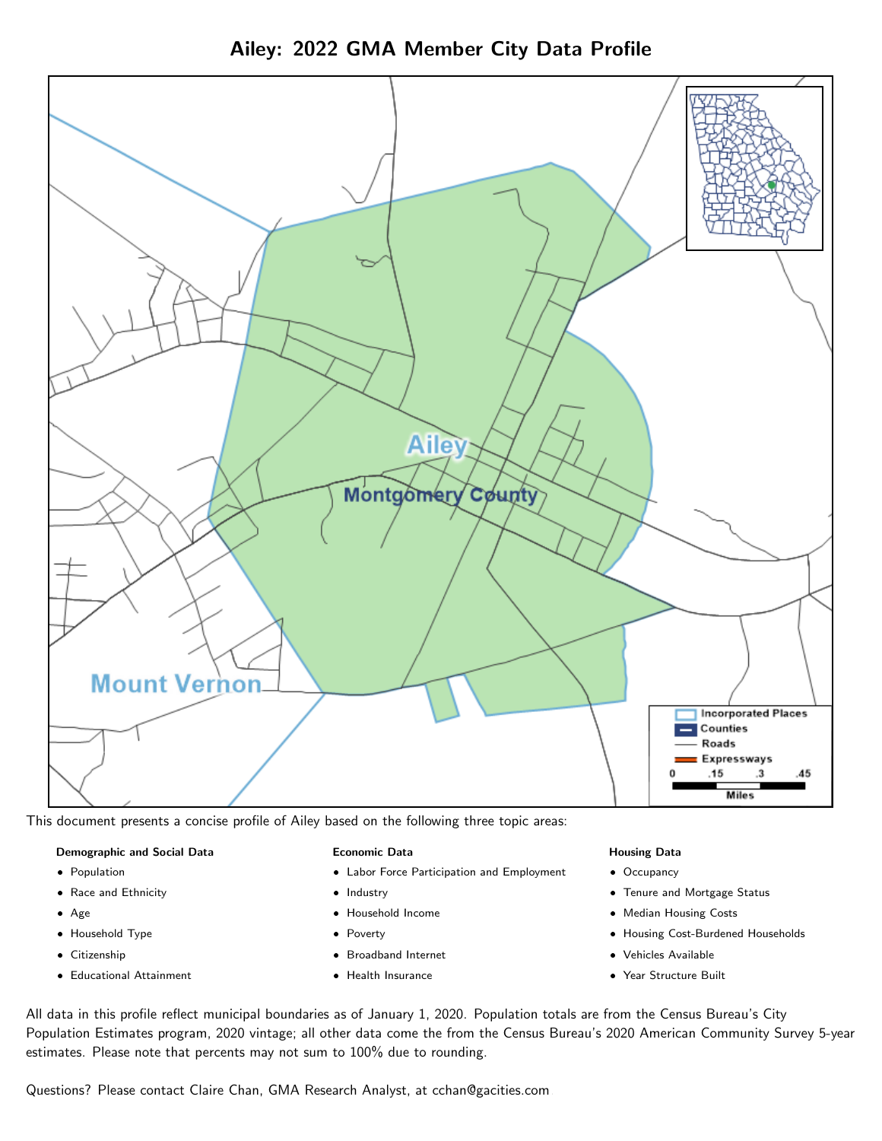Ailey: 2022 GMA Member City Data Profile



This document presents a concise profile of Ailey based on the following three topic areas:

#### Demographic and Social Data

- **•** Population
- Race and Ethnicity
- Age
- Household Type
- **Citizenship**
- Educational Attainment

#### Economic Data

- Labor Force Participation and Employment
- Industry
- Household Income
- Poverty
- Broadband Internet
- Health Insurance

#### Housing Data

- Occupancy
- Tenure and Mortgage Status
- Median Housing Costs
- Housing Cost-Burdened Households
- Vehicles Available
- Year Structure Built

All data in this profile reflect municipal boundaries as of January 1, 2020. Population totals are from the Census Bureau's City Population Estimates program, 2020 vintage; all other data come the from the Census Bureau's 2020 American Community Survey 5-year estimates. Please note that percents may not sum to 100% due to rounding.

Questions? Please contact Claire Chan, GMA Research Analyst, at [cchan@gacities.com.](mailto:cchan@gacities.com)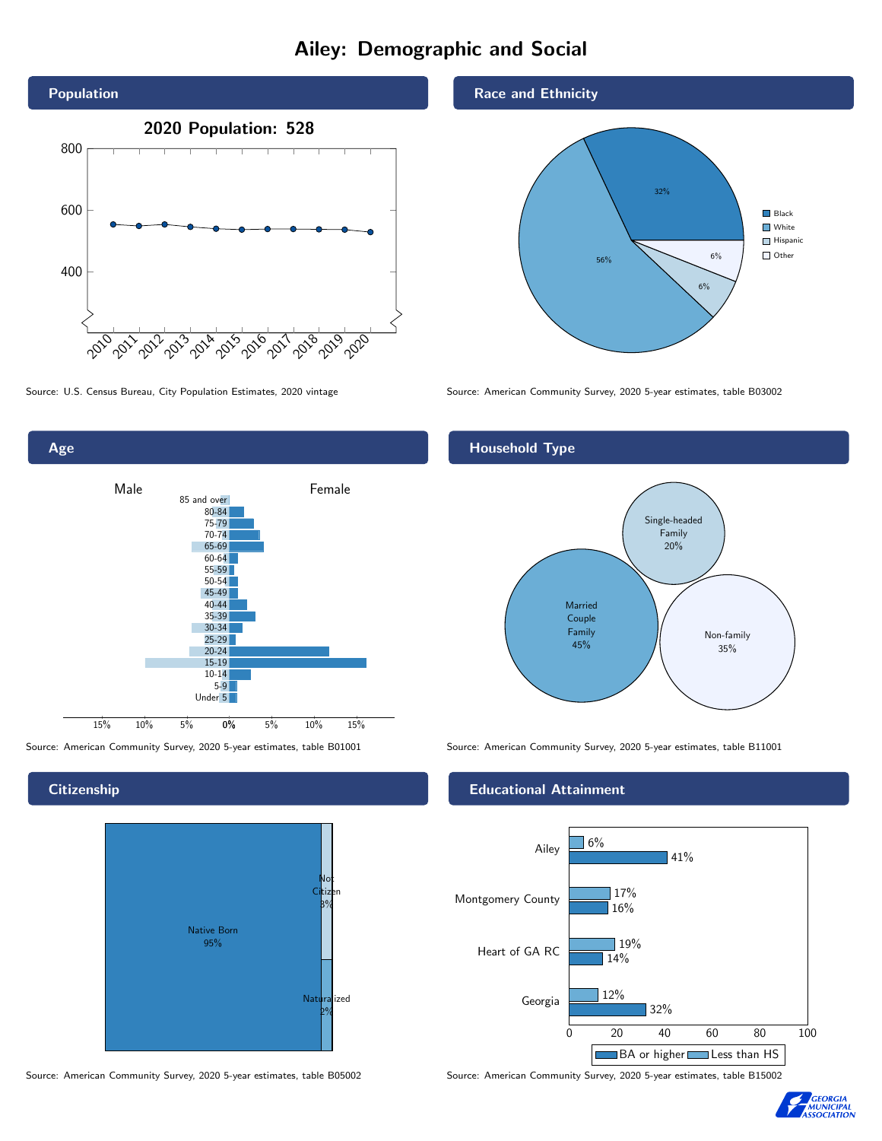# Ailey: Demographic and Social





**Citizenship** 



Source: American Community Survey, 2020 5-year estimates, table B05002 Source: American Community Survey, 2020 5-year estimates, table B15002

Race and Ethnicity



Source: U.S. Census Bureau, City Population Estimates, 2020 vintage Source: American Community Survey, 2020 5-year estimates, table B03002

## Household Type



Source: American Community Survey, 2020 5-year estimates, table B01001 Source: American Community Survey, 2020 5-year estimates, table B11001

### Educational Attainment



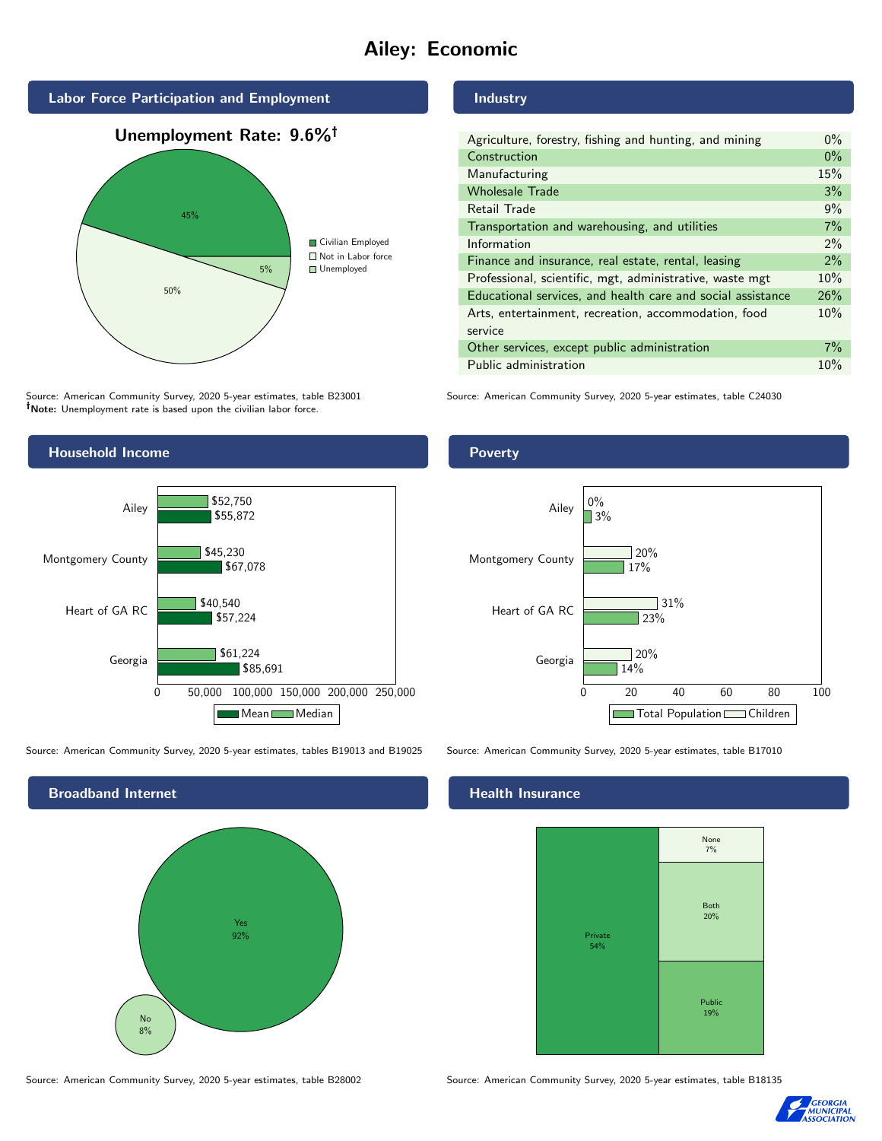# Ailey: Economic



Source: American Community Survey, 2020 5-year estimates, table B23001 Note: Unemployment rate is based upon the civilian labor force.

# Industry

| Agriculture, forestry, fishing and hunting, and mining      | $0\%$ |
|-------------------------------------------------------------|-------|
| Construction                                                | $0\%$ |
| Manufacturing                                               | 15%   |
| <b>Wholesale Trade</b>                                      | 3%    |
| Retail Trade                                                | 9%    |
| Transportation and warehousing, and utilities               | 7%    |
| Information                                                 | $2\%$ |
| Finance and insurance, real estate, rental, leasing         | 2%    |
| Professional, scientific, mgt, administrative, waste mgt    | 10%   |
| Educational services, and health care and social assistance | 26%   |
| Arts, entertainment, recreation, accommodation, food        | 10%   |
| service                                                     |       |
| Other services, except public administration                | 7%    |
| Public administration                                       | 10%   |

Source: American Community Survey, 2020 5-year estimates, table C24030



Source: American Community Survey, 2020 5-year estimates, tables B19013 and B19025 Source: American Community Survey, 2020 5-year estimates, table B17010



#### Health Insurance



Source: American Community Survey, 2020 5-year estimates, table B28002 Source: American Community Survey, 2020 5-year estimates, table B18135



## **Poverty**